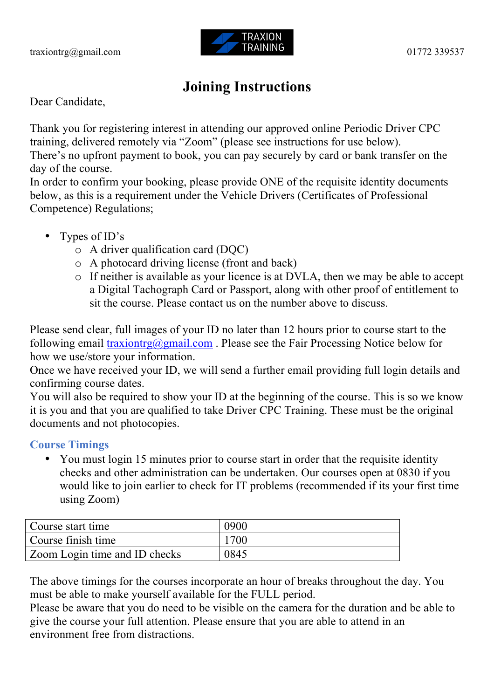

# **Joining Instructions**

Dear Candidate,

Thank you for registering interest in attending our approved online Periodic Driver CPC training, delivered remotely via "Zoom" (please see instructions for use below). There's no upfront payment to book, you can pay securely by card or bank transfer on the day of the course.

In order to confirm your booking, please provide ONE of the requisite identity documents below, as this is a requirement under the Vehicle Drivers (Certificates of Professional Competence) Regulations;

- Types of ID's
	- $\circ$  A driver qualification card (DOC)
	- o A photocard driving license (front and back)
	- o If neither is available as your licence is at DVLA, then we may be able to accept a Digital Tachograph Card or Passport, along with other proof of entitlement to sit the course. Please contact us on the number above to discuss.

Please send clear, full images of your ID no later than 12 hours prior to course start to the following email  $\frac{\text{trasing}(a)}{\text{gmail.com}}$ . Please see the Fair Processing Notice below for how we use/store your information.

Once we have received your ID, we will send a further email providing full login details and confirming course dates.

You will also be required to show your ID at the beginning of the course. This is so we know it is you and that you are qualified to take Driver CPC Training. These must be the original documents and not photocopies.

**Course Timings**

• You must login 15 minutes prior to course start in order that the requisite identity checks and other administration can be undertaken. Our courses open at 0830 if you would like to join earlier to check for IT problems (recommended if its your first time using Zoom)

| Course start time             | 0900 |
|-------------------------------|------|
| Course finish time            | 1700 |
| Zoom Login time and ID checks | 0845 |

The above timings for the courses incorporate an hour of breaks throughout the day. You must be able to make yourself available for the FULL period.

Please be aware that you do need to be visible on the camera for the duration and be able to give the course your full attention. Please ensure that you are able to attend in an environment free from distractions.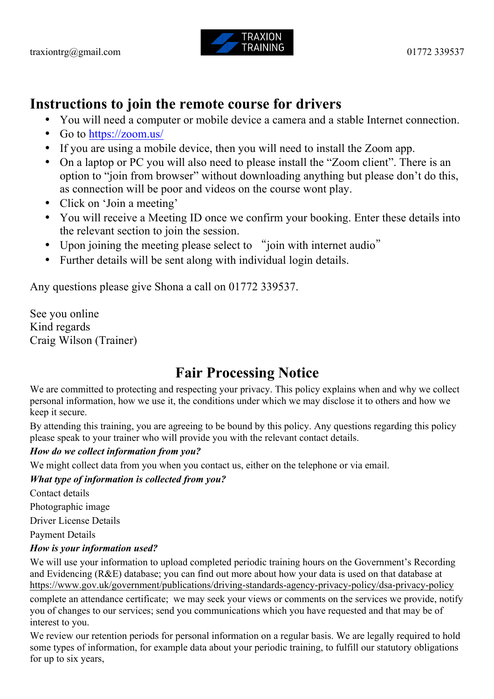

### **Instructions to join the remote course for drivers**

- You will need a computer or mobile device a camera and a stable Internet connection.
- Go to https://zoom.us/
- If you are using a mobile device, then you will need to install the Zoom app.
- On a laptop or PC you will also need to please install the "Zoom client". There is an option to "join from browser" without downloading anything but please don't do this, as connection will be poor and videos on the course wont play.
- Click on 'Join a meeting'
- You will receive a Meeting ID once we confirm your booking. Enter these details into the relevant section to join the session.
- Upon joining the meeting please select to "join with internet audio"
- Further details will be sent along with individual login details.

Any questions please give Shona a call on 01772 339537.

See you online Kind regards Craig Wilson (Trainer)

# **Fair Processing Notice**

We are committed to protecting and respecting your privacy. This policy explains when and why we collect personal information, how we use it, the conditions under which we may disclose it to others and how we keep it secure.

By attending this training, you are agreeing to be bound by this policy. Any questions regarding this policy please speak to your trainer who will provide you with the relevant contact details.

### *How do we collect information from you?*

We might collect data from you when you contact us, either on the telephone or via email.

### *What type of information is collected from you?*

Contact details

Photographic image

Driver License Details

Payment Details

### *How is your information used?*

We will use your information to upload completed periodic training hours on the Government's Recording and Evidencing (R&E) database; you can find out more about how your data is used on that database at https://www.gov.uk/government/publications/driving-standards-agency-privacy-policy/dsa-privacy-policy

complete an attendance certificate; we may seek your views or comments on the services we provide, notify you of changes to our services; send you communications which you have requested and that may be of interest to you.

We review our retention periods for personal information on a regular basis. We are legally required to hold some types of information, for example data about your periodic training, to fulfill our statutory obligations for up to six years,